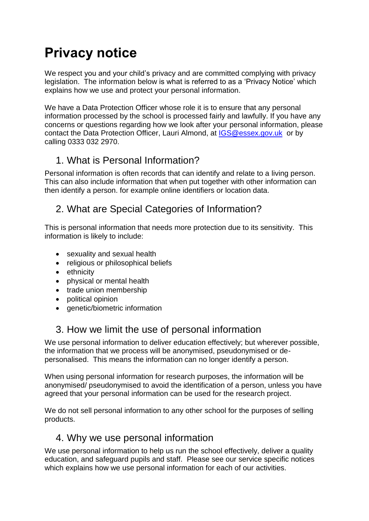# **Privacy notice**

We respect you and your child's privacy and are committed complying with privacy legislation. The information below is what is referred to as a 'Privacy Notice' which explains how we use and protect your personal information.

We have a Data Protection Officer whose role it is to ensure that any personal information processed by the school is processed fairly and lawfully. If you have any concerns or questions regarding how we look after your personal information, please contact the Data Protection Officer, Lauri Almond, at [IGS@essex.gov.uk](mailto:IGS@essex.gov.uk) or by calling 0333 032 2970.

# 1. What is Personal Information?

Personal information is often records that can identify and relate to a living person. This can also include information that when put together with other information can then identify a person. for example online identifiers or location data.

# 2. What are Special Categories of Information?

This is personal information that needs more protection due to its sensitivity. This information is likely to include:

- sexuality and sexual health
- religious or philosophical beliefs
- ethnicity
- physical or mental health
- trade union membership
- political opinion
- genetic/biometric information

# 3. How we limit the use of personal information

We use personal information to deliver education effectively; but wherever possible, the information that we process will be anonymised, pseudonymised or depersonalised. This means the information can no longer identify a person.

When using personal information for research purposes, the information will be anonymised/ pseudonymised to avoid the identification of a person, unless you have agreed that your personal information can be used for the research project.

We do not sell personal information to any other school for the purposes of selling products.

## 4. Why we use personal information

We use personal information to help us run the school effectively, deliver a quality education, and safeguard pupils and staff. Please see our service specific notices which explains how we use personal information for each of our activities.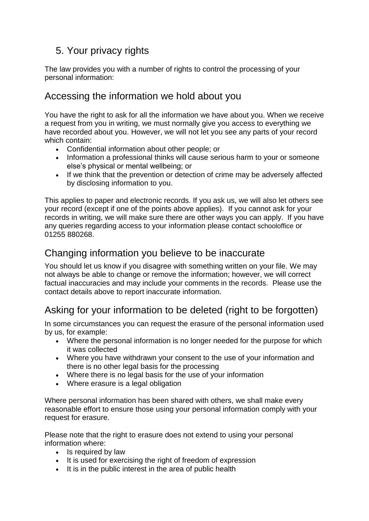# 5. Your privacy rights

The law provides you with a number of rights to control the processing of your personal information:

## Accessing the information we hold about you

You have the right to ask for all the information we have about you. When we receive a request from you in writing, we must normally give you access to everything we have recorded about you. However, we will not let you see any parts of your record which contain:

- Confidential information about other people; or
- Information a professional thinks will cause serious harm to your or someone else's physical or mental wellbeing; or
- If we think that the prevention or detection of crime may be adversely affected by disclosing information to you.

This applies to paper and electronic records. If you ask us, we will also let others see your record (except if one of the points above applies). If you cannot ask for your records in writing, we will make sure there are other ways you can apply. If you have any queries regarding access to your information please contact schooloffice or 01255 880268.

# Changing information you believe to be inaccurate

You should let us know if you disagree with something written on your file. We may not always be able to change or remove the information; however, we will correct factual inaccuracies and may include your comments in the records. [Please use the](https://forms.essex.gov.uk/default.aspx/RenderForm/?F.Name=r4Qcams7sBg&HideAll=1)  [contact details above to report inaccurate information.](https://forms.essex.gov.uk/default.aspx/RenderForm/?F.Name=r4Qcams7sBg&HideAll=1)

# Asking for your information to be deleted (right to be forgotten)

In some circumstances you can request the erasure of the personal information used by us, for example:

- Where the personal information is no longer needed for the purpose for which it was collected
- Where you have withdrawn your consent to the use of your information and there is no other legal basis for the processing
- Where there is no legal basis for the use of your information
- Where erasure is a legal obligation

Where personal information has been shared with others, we shall make every reasonable effort to ensure those using your personal information comply with your request for erasure.

Please note that the right to erasure does not extend to using your personal information where:

- Is required by law
- It is used for exercising the right of freedom of expression
- It is in the public interest in the area of public health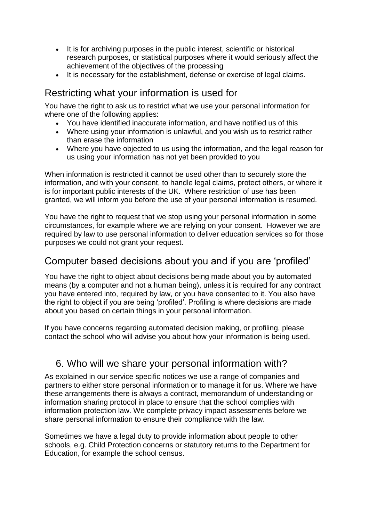- It is for archiving purposes in the public interest, scientific or historical research purposes, or statistical purposes where it would seriously affect the achievement of the objectives of the processing
- It is necessary for the establishment, defense or exercise of legal claims.

# Restricting what your information is used for

You have the right to ask us to restrict what we use your personal information for where one of the following applies:

- You have identified inaccurate information, and have notified us of this
- Where using your information is unlawful, and you wish us to restrict rather than erase the information
- Where you have objected to us using the information, and the legal reason for us using your information has not yet been provided to you

When information is restricted it cannot be used other than to securely store the information, and with your consent, to handle legal claims, protect others, or where it is for important public interests of the UK. Where restriction of use has been granted, we will inform you before the use of your personal information is resumed.

You have the right to request that we stop using your personal information in some circumstances, for example where we are relying on your consent. However we are required by law to use personal information to deliver education services so for those purposes we could not grant your request.

## Computer based decisions about you and if you are 'profiled'

You have the right to object about decisions being made about you by automated means (by a computer and not a human being), unless it is required for any contract you have entered into, required by law, or you have consented to it. You also have the right to object if you are being 'profiled'. Profiling is where decisions are made about you based on certain things in your personal information.

If you have concerns regarding automated decision making, or profiling, please contact the school who will advise you about how your information is being used.

# 6. Who will we share your personal information with?

As explained in our service specific notices we use a range of companies and partners to either store personal information or to manage it for us. Where we have these arrangements there is always a contract, memorandum of understanding or information sharing protocol in place to ensure that the school complies with information protection law. We complete privacy impact assessments before we share personal information to ensure their compliance with the law.

Sometimes we have a legal duty to provide information about people to other schools, e.g. Child Protection concerns or statutory returns to the Department for Education, for example the school census.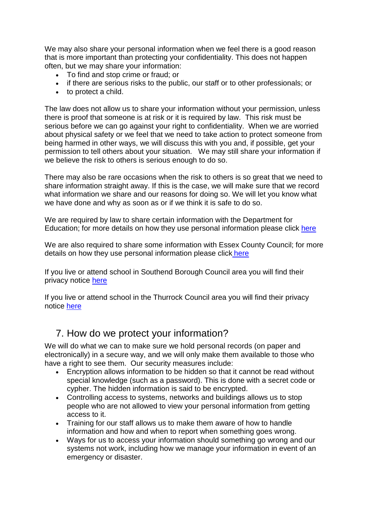We may also share your personal information when we feel there is a good reason that is more important than protecting your confidentiality. This does not happen often, but we may share your information:

- To find and stop crime or fraud; or
- if there are serious risks to the public, our staff or to other professionals; or
- to protect a child.

The law does not allow us to share your information without your permission, unless there is proof that someone is at risk or it is required by law. This risk must be serious before we can go against your right to confidentiality. When we are worried about physical safety or we feel that we need to take action to protect someone from being harmed in other ways, we will discuss this with you and, if possible, get your permission to tell others about your situation. We may still share your information if we believe the risk to others is serious enough to do so.

There may also be rare occasions when the risk to others is so great that we need to share information straight away. If this is the case, we will make sure that we record what information we share and our reasons for doing so. We will let you know what we have done and why as soon as or if we think it is safe to do so.

We are required by law to share certain information with the Department for Education; for more details on how they use personal information please click [here](https://www.gov.uk/guidance/data-protection-how-we-collect-and-share-research-data)

We are also required to share some information with Essex County Council; for more details on how they use personal information please click [here](http://www.essex.gov.uk/privacy-notices/Pages/Default.aspx)

If you live or attend school in Southend Borough Council area you will find their privacy notice [here](https://www.southend.gov.uk/privacynotice)

If you live or attend school in the Thurrock Council area you will find their privacy notice [here](https://www.thurrock.gov.uk/privacy)

#### 7. How do we protect your information?

We will do what we can to make sure we hold personal records (on paper and electronically) in a secure way, and we will only make them available to those who have a right to see them. Our security measures include:

- Encryption allows information to be hidden so that it cannot be read without special knowledge (such as a password). This is done with a secret code or cypher. The hidden information is said to be encrypted.
- Controlling access to systems, networks and buildings allows us to stop people who are not allowed to view your personal information from getting access to it.
- Training for our staff allows us to make them aware of how to handle information and how and when to report when something goes wrong.
- Ways for us to access your information should something go wrong and our systems not work, including how we manage your information in event of an emergency or disaster.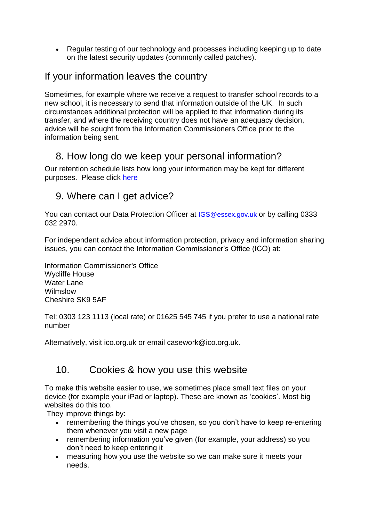• Regular testing of our technology and processes including keeping up to date on the latest security updates (commonly called patches).

# If your information leaves the country

Sometimes, for example where we receive a request to transfer school records to a new school, it is necessary to send that information outside of the UK. In such circumstances additional protection will be applied to that information during its transfer, and where the receiving country does not have an adequacy decision, advice will be sought from the Information Commissioners Office prior to the information being sent.

# 8. How long do we keep your personal information?

Our retention schedule lists how long your information may be kept for different purposes. Please click [here](https://c.ymcdn.com/sites/irms.site-ym.com/resource/collection/8BCEF755-0353-4F66-9877-CCDA4BFEEAC4/2016_IRMS_Toolkit_for_Schools_v5_Master.pdf)

# 9. Where can I get advice?

You can contact our Data Protection Officer at [IGS@essex.gov.uk](mailto:IGS@essex.gov.uk) or by calling 0333 032 2970.

For independent advice about information protection, privacy and information sharing issues, you can contact the Information Commissioner's Office (ICO) at:

Information Commissioner's Office Wycliffe House Water Lane Wilmslow Cheshire SK9 5AF

Tel: 0303 123 1113 (local rate) or 01625 545 745 if you prefer to use a national rate number

Alternatively, visit [ico.org.uk](https://ico.org.uk/) or email [casework@ico.org.uk.](mailto:casework@ico.org.uk)

# 10. Cookies & how you use this website

To make this website easier to use, we sometimes place small text files on your device (for example your iPad or laptop). These are known as 'cookies'. Most big websites do this too.

They improve things by:

- remembering the things you've chosen, so you don't have to keep re-entering them whenever you visit a new page
- remembering information you've given (for example, your address) so you don't need to keep entering it
- measuring how you use the website so we can make sure it meets your needs.